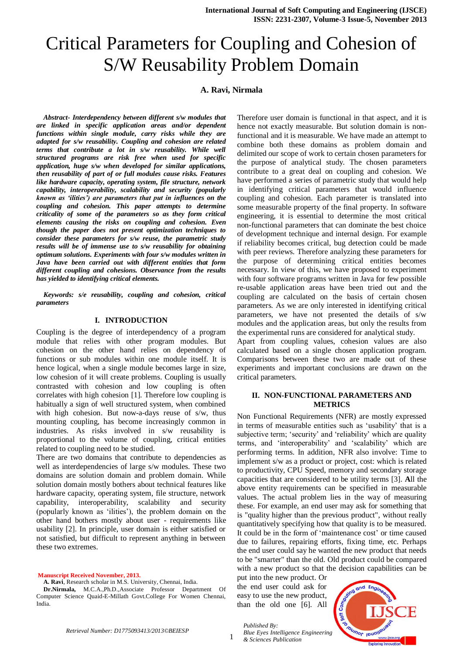# Critical Parameters for Coupling and Cohesion of S/W Reusability Problem Domain

# **A. Ravi, Nirmala**

*Abstract- Interdependency between different s/w modules that are linked in specific application areas and/or dependent functions within single module, carry risks while they are adapted for s/w reusability. Coupling and cohesion are related terms that contribute a lot in s/w reusability. While well structured programs are risk free when used for specific application, huge s/w when developed for similar applications, then reusability of part of or full modules cause risks. Features like hardware capacity, operating system, file structure, network capability, interoperability, scalability and security (popularly known as 'ilities') are parameters that put in influences on the coupling and cohesion. This paper attempts to determine criticality of some of the parameters so as they form critical elements causing the risks on coupling and cohesion. Even though the paper does not present optimization techniques to consider these parameters for s/w reuse, the parametric study results will be of immense use to s/w reusability for obtaining optimum solutions. Experiments with four s/w modules written in Java have been carried out with different entities that form different coupling and cohesions. Observance from the results has yielded to identifying critical elements.*

*Keywords: s/e reusability, coupling and cohesion, critical parameters*

#### **I. INTRODUCTION**

Coupling is the degree of interdependency of a program module that relies with other program modules. But cohesion on the other hand relies on dependency of functions or sub modules within one module itself. It is hence logical, when a single module becomes large in size, low cohesion of it will create problems. Coupling is usually contrasted with cohesion and low coupling is often correlates with high cohesion [1]. Therefore low coupling is habitually a sign of well structured system, when combined with high cohesion. But now-a-days reuse of s/w, thus mounting coupling, has become increasingly common in industries. As risks involved in s/w reusability is proportional to the volume of coupling, critical entities related to coupling need to be studied.

There are two domains that contribute to dependencies as well as interdependencies of large s/w modules. These two domains are solution domain and problem domain. While solution domain mostly bothers about technical features like hardware capacity, operating system, file structure, network capability, interoperability, scalability and security (popularly known as "ilities"), the problem domain on the other hand bothers mostly about user - requirements like usability [2]. In principle, user domain is either satisfied or not satisfied, but difficult to represent anything in between these two extremes.

**Manuscript Received November, 2013.**

**A. Ravi**, Research scholar in M.S. University, Chennai, India. **Dr.Nirmala,** M.C.A.,Ph.D.,Associate Professor Department Of Computer Science Quaid-E-Millath Govt.College For Women Chennai, India.

Therefore user domain is functional in that aspect, and it is hence not exactly measurable. But solution domain is nonfunctional and it is measurable. We have made an attempt to combine both these domains as problem domain and delimited our scope of work to certain chosen parameters for the purpose of analytical study. The chosen parameters contribute to a great deal on coupling and cohesion. We have performed a series of parametric study that would help in identifying critical parameters that would influence coupling and cohesion. Each parameter is translated into some measurable property of the final property. In software engineering, it is essential to determine the most critical non-functional parameters that can dominate the best choice of development technique and internal design. For example if reliability becomes critical, bug detection could be made with peer reviews. Therefore analyzing these parameters for the purpose of determining critical entities becomes necessary. In view of this, we have proposed to experiment with four software programs written in Java for few possible re-usable application areas have been tried out and the coupling are calculated on the basis of certain chosen parameters. As we are only interested in identifying critical parameters, we have not presented the details of s/w modules and the application areas, but only the results from the experimental runs are considered for analytical study.

Apart from coupling values, cohesion values are also calculated based on a single chosen application program. Comparisons between these two are made out of these experiments and important conclusions are drawn on the critical parameters.

### **II. NON-FUNCTIONAL PARAMETERS AND METRICS**

Non Functional Requirements (NFR) are mostly expressed in terms of measurable entities such as "usability" that is a subjective term; 'security' and 'reliability' which are quality terms, and "interoperability" and "scalability" which are performing terms. In addition, NFR also involve: Time to implement s/w as a product or project, cost: which is related to productivity, CPU Speed, memory and secondary storage capacities that are considered to be utility terms [3]. **A**ll the above entity requirements can be specified in measurable values. The actual problem lies in the way of measuring these. For example, an end user may ask for something that is "quality higher than the previous product", without really quantitatively specifying how that quality is to be measured. It could be in the form of 'maintenance cost' or time caused due to failures, repairing efforts, fixing time, etc. Perhaps the end user could say he wanted the new product that needs to be "smarter" than the old. Old product could be compared with a new product so that the decision capabilities can be

put into the new product. Or the end user could ask for easy to use the new product, than the old one [6]. All

*Published By:*

*& Sciences Publication* 

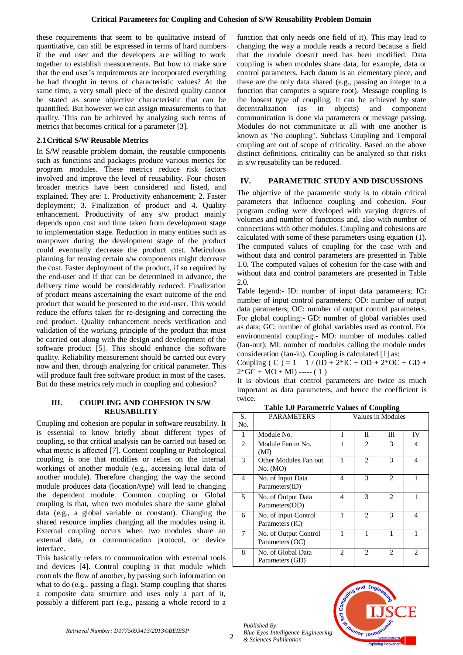these requirements that seem to be qualitative instead of quantitative, can still be expressed in terms of hard numbers if the end user and the developers are willing to work together to establish measurements. But how to make sure that the end user"s requirements are incorporated everything he had thought in terms of characteristic values? At the same time, a very small piece of the desired quality cannot be stated as some objective characteristic that can be quantified. But however we can assign measurements to that quality. This can be achieved by analyzing such terms of metrics that becomes critical for a parameter [3].

### **2.1Critical S/W Reusable Metrics**

In S/W reusable problem domain, the reusable components such as functions and packages produce various metrics for program modules. These metrics reduce risk factors involved and improve the level of reusability. Four chosen broader metrics have been considered and listed, and explained. They are: 1. Productivity enhancement; 2. Faster deployment; 3. Finalization of product and 4. Quality enhancement. Productivity of any s/w product mainly depends upon cost and time taken from development stage to implementation stage. Reduction in many entities such as manpower during the development stage of the product could eventually decrease the product cost. Meticulous planning for reusing certain s/w components might decrease the cost. Faster deployment of the product, if so required by the end-user and if that can be determined in advance, the delivery time would be considerably reduced. Finalization of product means ascertaining the exact outcome of the end product that would be presented to the end-user. This would reduce the efforts taken for re-designing and correcting the end product. Quality enhancement needs verification and validation of the working principle of the product that must be carried out along with the design and development of the software product [5]. This should enhance the software quality. Reliability measurement should be carried out every now and then, through analyzing for critical parameter. This will produce fault free software product in most of the cases. But do these metrics rely much in coupling and cohesion?

#### **III. COUPLING AND COHESION IN S/W REUSABILITY**

Coupling and cohesion are popular in software reusability. It is essential to know briefly about different types of coupling, so that critical analysis can be carried out based on what metric is affected [7]. Content coupling or Pathological coupling is one that modifies or relies on the internal workings of another module (e.g., accessing local data of another module). Therefore changing the way the second module produces data (location/type) will lead to changing the dependent module. Common coupling or Global coupling is that, when two modules share the same global data (e.g., a global variable or constant). Changing the shared resource implies changing all the modules using it. External coupling occurs when two modules share an external data, or communication protocol, or device interface.

This basically refers to communication with external tools and devices [4]. Control coupling is that module which controls the flow of another, by passing such information on what to do (e.g., passing a flag). Stamp coupling that shares a composite data structure and uses only a part of it, possibly a different part (e.g., passing a whole record to a

function that only needs one field of it). This may lead to changing the way a module reads a record because a field that the module doesn't need has been modified. Data coupling is when modules share data, for example, data or control parameters. Each datum is an elementary piece, and these are the only data shared (e.g., passing an integer to a function that computes a square root). Message coupling is the loosest type of coupling. It can be achieved by state decentralization (as in objects) and component communication is done via parameters or message passing. Modules do not communicate at all with one another is known as "No coupling". Subclass Coupling and Temporal coupling are out of scope of criticality. Based on the above distinct definitions, criticality can be analyzed so that risks in s/w reusability can be reduced.

#### **IV. PARAMETRIC STUDY AND DISCUSSIONS**

The objective of the parametric study is to obtain critical parameters that influence coupling and cohesion. Four program coding were developed with varying degrees of volumes and number of functions and, also with number of connections with other modules. Coupling and cohesions are calculated with some of these parameters using equation (1). The computed values of coupling for the case with and without data and control parameters are presented in Table 1.0. The computed values of cohesion for the case with and without data and control parameters are presented in Table 2.0.

Table legend:- ID: number of input data parameters; IC**:** number of input control parameters; OD: number of output data parameters; OC: number of output control parameters. For global coupling:- GD: number of global variables used as data; GC: number of global variables used as control. For environmental coupling:- MO: number of modules called (fan-out); MI: number of modules calling the module under consideration (fan-in). Coupling is calculated [1] as:

Coupling ( C ) = 1 – 1 / (ID + 2\*IC + OD + 2\*OC + GD +  $2*GC + MO + MI$ ) ----- (1)

It is obvious that control parameters are twice as much important as data parameters, and hence the coefficient is twice.

**Table 1.0 Parametric Values of Coupling**

| S.<br>N <sub>O</sub> | <b>PARAMETERS</b>                        | Values in Modules           |                |                             |                             |
|----------------------|------------------------------------------|-----------------------------|----------------|-----------------------------|-----------------------------|
|                      |                                          |                             |                |                             |                             |
| 1                    | Module No.                               | T                           | Π              | Ш                           | IV                          |
| $\mathfrak{2}$       | Module Fan in No.<br>(MI)                |                             | 2              | 3                           | $\overline{4}$              |
| 3                    | Other Modules Fan out<br>No. (MO)        |                             | 2              | 3                           | 4                           |
| 4                    | No. of Input Data<br>Parameters(ID)      | 4                           | 3              | $\mathcal{D}_{\mathcal{L}}$ | 1                           |
| 5                    | No. of Output Data<br>Parameters(OD)     | 4                           | 3              | $\mathfrak{D}$              | 1                           |
| 6                    | No. of Input Control<br>Parameters (IC)  |                             | $\mathfrak{D}$ | 3                           | 4                           |
| 7                    | No. of Output Control<br>Parameters (OC) |                             |                |                             |                             |
| 8                    | No. of Global Data<br>Parameters (GD)    | $\mathcal{D}_{\mathcal{L}}$ | 2              | 2                           | $\mathcal{D}_{\mathcal{L}}$ |